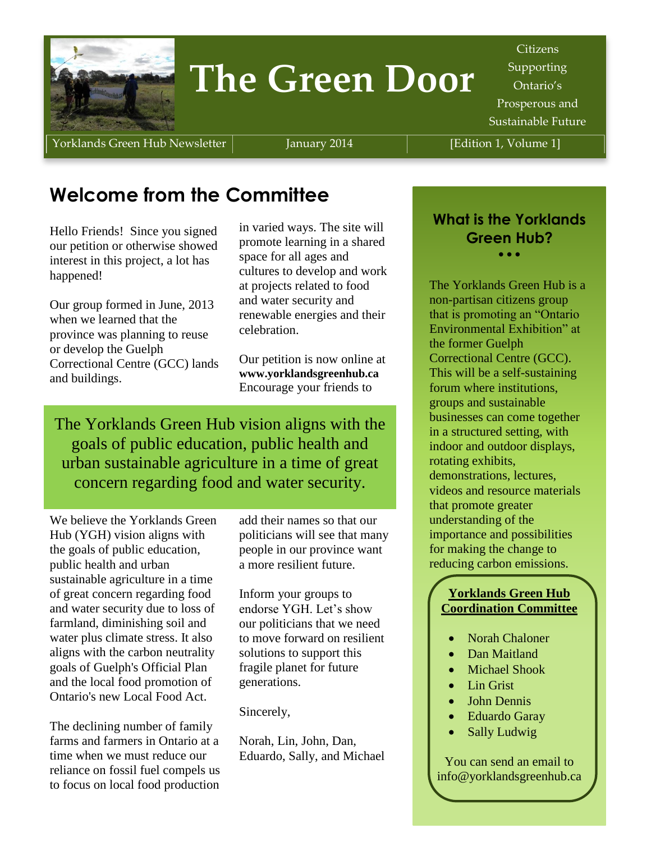

# **The Green Door**

Citizens **Supporting** Ontario's Prosperous and Sustainable Future

Yorklands Green Hub Newsletter | January 2014 | [Edition 1, Volume 1]

# **Welcome from the Committee**

Hello Friends! Since you signed our petition or otherwise showed interest in this project, a lot has happened!

Our group formed in June, 2013 when we learned that the province was planning to reuse or develop the Guelph Correctional Centre (GCC) lands and buildings.

in varied ways. The site will promote learning in a shared space for all ages and cultures to develop and work at projects related to food and water security and renewable energies and their celebration.

Our petition is now online at **www.yorklandsgreenhub.ca** Encourage your friends to

The Yorklands Green Hub vision aligns with the goals of public education, public health and urban sustainable agriculture in a time of great concern regarding food and water security.

We believe the Yorklands Green Hub (YGH) vision aligns with the goals of public education, public health and urban sustainable agriculture in a time of great concern regarding food and water security due to loss of farmland, diminishing soil and water plus climate stress. It also aligns with the carbon neutrality goals of Guelph's Official Plan and the local food promotion of Ontario's new Local Food Act.

The declining number of family farms and farmers in Ontario at a time when we must reduce our reliance on fossil fuel compels us to focus on local food production

add their names so that our politicians will see that many people in our province want a more resilient future.

Inform your groups to endorse YGH. Let's show our politicians that we need to move forward on resilient solutions to support this fragile planet for future generations.

Sincerely,

Norah, Lin, John, Dan, Eduardo, Sally, and Michael

### **What is the Yorklands Green Hub?**  $\bullet$   $\bullet$   $\bullet$

The Yorklands Green Hub is a non-partisan citizens group that is promoting an "Ontario Environmental Exhibition" at the former Guelph Correctional Centre (GCC). This will be a self-sustaining forum where institutions, groups and sustainable businesses can come together in a structured setting, with indoor and outdoor displays, rotating exhibits, demonstrations, lectures, videos and resource materials that promote greater understanding of the importance and possibilities for making the change to reducing carbon emissions.

#### **Yorklands Green Hub Coordination Committee**

- Norah Chaloner
- Dan Maitland
- Michael Shook
- Lin Grist
- John Dennis
- Eduardo Garay
- Sally Ludwig

You can send an email to info@yorklandsgreenhub.ca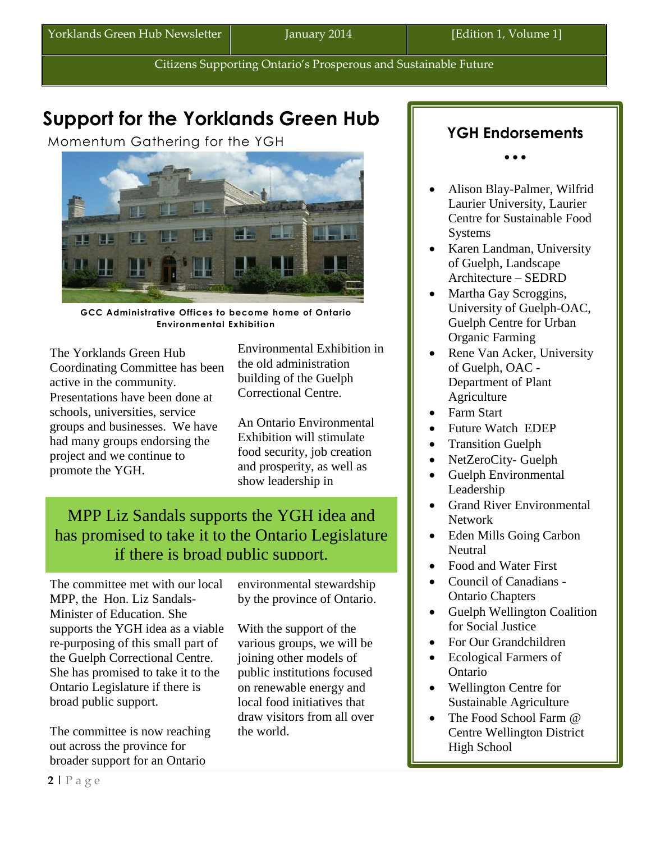Citizens Supporting Ontario's Prosperous and Sustainable Future

# **Support for the Yorklands Green Hub**

Momentum Gathering for the YGH



**GCC Administrative Offices to become home of Ontario Environmental Exhibition**

The Yorklands Green Hub Coordinating Committee has been active in the community. Presentations have been done at schools, universities, service groups and businesses. We have had many groups endorsing the project and we continue to promote the YGH.

Environmental Exhibition in the old administration building of the Guelph Correctional Centre.

An Ontario Environmental Exhibition will stimulate food security, job creation and prosperity, as well as show leadership in

### MPP Liz Sandals supports the YGH idea and has promised to take it to the Ontario Legislature if there is broad public support.

The committee met with our local MPP, the Hon. Liz Sandals-Minister of Education. She supports the YGH idea as a viable re-purposing of this small part of the Guelph Correctional Centre. She has promised to take it to the Ontario Legislature if there is broad public support.

The committee is now reaching out across the province for broader support for an Ontario

environmental stewardship by the province of Ontario.

With the support of the various groups, we will be joining other models of public institutions focused on renewable energy and local food initiatives that draw visitors from all over the world.

### **YGH Endorsements**

 $\bullet$   $\bullet$   $\bullet$ 

- Alison Blay-Palmer, Wilfrid Laurier University, Laurier Centre for Sustainable Food **Systems**
- Karen Landman, University of Guelph, Landscape Architecture – SEDRD
- Martha Gay Scroggins, University of Guelph-OAC, Guelph Centre for Urban Organic Farming
- Rene Van Acker, University of Guelph, OAC - Department of Plant **Agriculture**
- Farm Start
- Future Watch EDEP
- Transition Guelph
- NetZeroCity- Guelph
- Guelph Environmental Leadership
- Grand River Environmental Network
- Eden Mills Going Carbon Neutral
- Food and Water First
- Council of Canadians -Ontario Chapters
- Guelph Wellington Coalition for Social Justice
- For Our Grandchildren
- Ecological Farmers of Ontario
- Wellington Centre for Sustainable Agriculture
- The Food School Farm @ Centre Wellington District High School